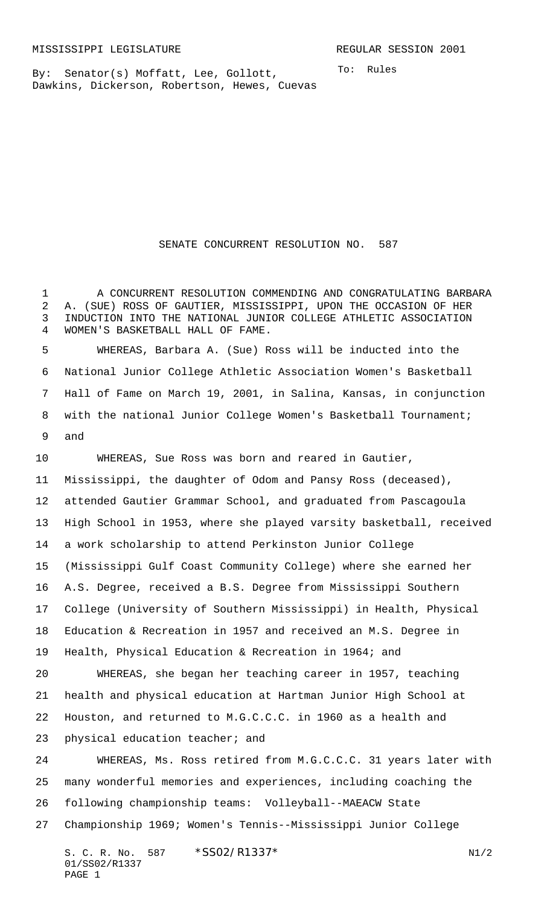By: Senator(s) Moffatt, Lee, Gollott, Dawkins, Dickerson, Robertson, Hewes, Cuevas To: Rules

SENATE CONCURRENT RESOLUTION NO. 587

 A CONCURRENT RESOLUTION COMMENDING AND CONGRATULATING BARBARA A. (SUE) ROSS OF GAUTIER, MISSISSIPPI, UPON THE OCCASION OF HER INDUCTION INTO THE NATIONAL JUNIOR COLLEGE ATHLETIC ASSOCIATION WOMEN'S BASKETBALL HALL OF FAME.

 WHEREAS, Barbara A. (Sue) Ross will be inducted into the National Junior College Athletic Association Women's Basketball Hall of Fame on March 19, 2001, in Salina, Kansas, in conjunction with the national Junior College Women's Basketball Tournament; and

 WHEREAS, Sue Ross was born and reared in Gautier, Mississippi, the daughter of Odom and Pansy Ross (deceased), attended Gautier Grammar School, and graduated from Pascagoula High School in 1953, where she played varsity basketball, received a work scholarship to attend Perkinston Junior College (Mississippi Gulf Coast Community College) where she earned her A.S. Degree, received a B.S. Degree from Mississippi Southern College (University of Southern Mississippi) in Health, Physical Education & Recreation in 1957 and received an M.S. Degree in Health, Physical Education & Recreation in 1964; and WHEREAS, she began her teaching career in 1957, teaching health and physical education at Hartman Junior High School at Houston, and returned to M.G.C.C.C. in 1960 as a health and physical education teacher; and WHEREAS, Ms. Ross retired from M.G.C.C.C. 31 years later with many wonderful memories and experiences, including coaching the following championship teams: Volleyball--MAEACW State Championship 1969; Women's Tennis--Mississippi Junior College

S. C. R. No. \*SS02/R1337\* N1/2 01/SS02/R1337 PAGE 1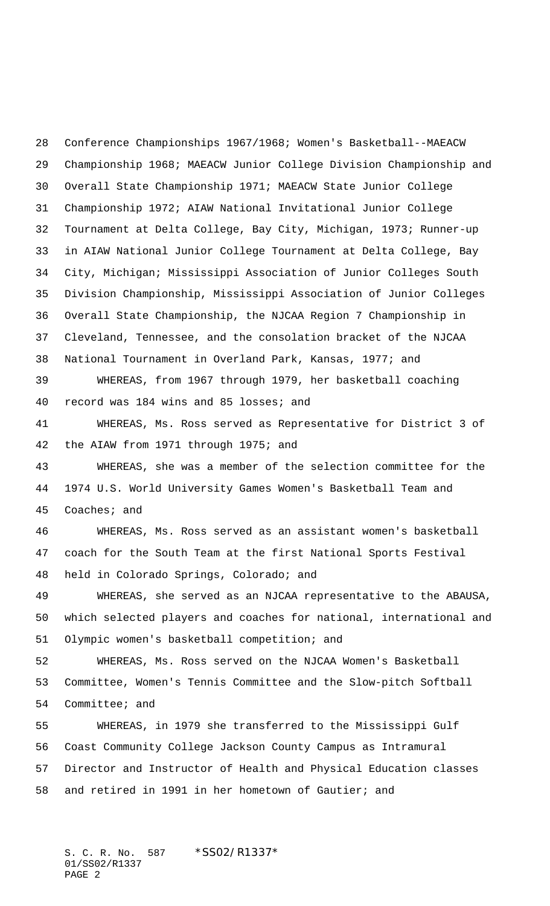Conference Championships 1967/1968; Women's Basketball--MAEACW Championship 1968; MAEACW Junior College Division Championship and Overall State Championship 1971; MAEACW State Junior College Championship 1972; AIAW National Invitational Junior College Tournament at Delta College, Bay City, Michigan, 1973; Runner-up in AIAW National Junior College Tournament at Delta College, Bay City, Michigan; Mississippi Association of Junior Colleges South Division Championship, Mississippi Association of Junior Colleges Overall State Championship, the NJCAA Region 7 Championship in Cleveland, Tennessee, and the consolation bracket of the NJCAA National Tournament in Overland Park, Kansas, 1977; and WHEREAS, from 1967 through 1979, her basketball coaching record was 184 wins and 85 losses; and WHEREAS, Ms. Ross served as Representative for District 3 of the AIAW from 1971 through 1975; and WHEREAS, she was a member of the selection committee for the 1974 U.S. World University Games Women's Basketball Team and Coaches; and WHEREAS, Ms. Ross served as an assistant women's basketball coach for the South Team at the first National Sports Festival held in Colorado Springs, Colorado; and WHEREAS, she served as an NJCAA representative to the ABAUSA, which selected players and coaches for national, international and Olympic women's basketball competition; and WHEREAS, Ms. Ross served on the NJCAA Women's Basketball Committee, Women's Tennis Committee and the Slow-pitch Softball Committee; and WHEREAS, in 1979 she transferred to the Mississippi Gulf Coast Community College Jackson County Campus as Intramural Director and Instructor of Health and Physical Education classes and retired in 1991 in her hometown of Gautier; and

S. C. R. No. 587 \* SS02/R1337\* 01/SS02/R1337 PAGE 2